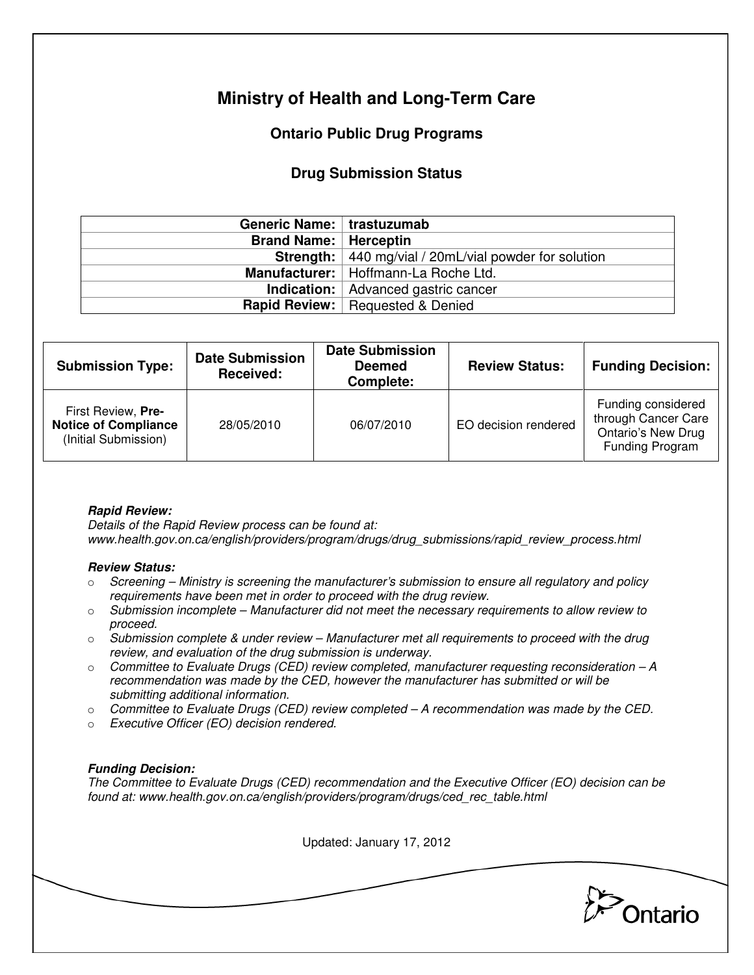# **Ministry of Health and Long-Term Care**

## **Ontario Public Drug Programs**

### **Drug Submission Status**

| Generic Name:   trastuzumab    |                                                         |
|--------------------------------|---------------------------------------------------------|
| <b>Brand Name:   Herceptin</b> |                                                         |
|                                | Strength:   440 mg/vial / 20mL/vial powder for solution |
|                                | Manufacturer:   Hoffmann-La Roche Ltd.                  |
|                                | <b>Indication:</b>   Advanced gastric cancer            |
|                                | <b>Rapid Review:</b> Requested & Denied                 |

| <b>Submission Type:</b>                                                   | <b>Date Submission</b><br>Received: | <b>Date Submission</b><br><b>Deemed</b><br>Complete: | <b>Review Status:</b> | <b>Funding Decision:</b>                                                                  |
|---------------------------------------------------------------------------|-------------------------------------|------------------------------------------------------|-----------------------|-------------------------------------------------------------------------------------------|
| First Review, Pre-<br><b>Notice of Compliance</b><br>(Initial Submission) | 28/05/2010                          | 06/07/2010                                           | EO decision rendered  | Funding considered<br>through Cancer Care<br><b>Ontario's New Drug</b><br>Funding Program |

#### **Rapid Review:**

Details of the Rapid Review process can be found at: www.health.gov.on.ca/english/providers/program/drugs/drug\_submissions/rapid\_review\_process.html

#### **Review Status:**

- $\circ$  Screening Ministry is screening the manufacturer's submission to ensure all regulatory and policy requirements have been met in order to proceed with the drug review.
- $\circ$  Submission incomplete Manufacturer did not meet the necessary requirements to allow review to proceed.
- $\circ$  Submission complete & under review Manufacturer met all requirements to proceed with the drug review, and evaluation of the drug submission is underway.
- $\circ$  Committee to Evaluate Drugs (CED) review completed, manufacturer requesting reconsideration  $-A$ recommendation was made by the CED, however the manufacturer has submitted or will be submitting additional information.
- $\circ$  Committee to Evaluate Drugs (CED) review completed  $-A$  recommendation was made by the CED.
- o Executive Officer (EO) decision rendered.

#### **Funding Decision:**

The Committee to Evaluate Drugs (CED) recommendation and the Executive Officer (EO) decision can be found at: www.health.gov.on.ca/english/providers/program/drugs/ced\_rec\_table.html

Updated: January 17, 2012

**Pontario**